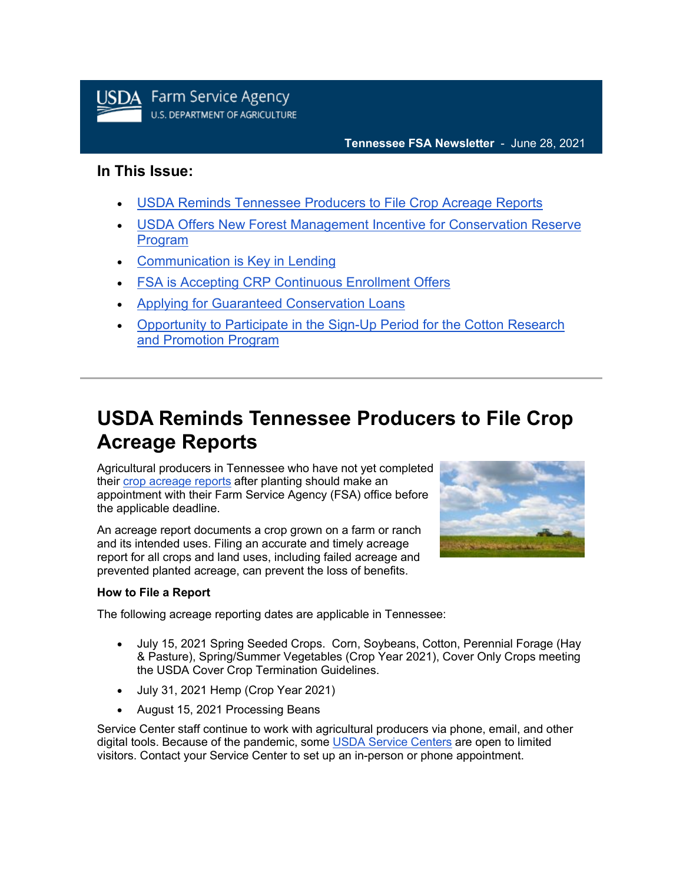

### **Tennessee FSA Newsletter** - June 28, 2021

### **In This Issue:**

- [USDA Reminds Tennessee Producers to File Crop Acreage Reports](https://admin.govdelivery.com/accounts/USDAFARMERS/bulletins?sortdesc=bulletinsort-sent_at&state=sent#link_1)
- [USDA Offers New Forest Management Incentive for Conservation Reserve](https://admin.govdelivery.com/accounts/USDAFARMERS/bulletins?sortdesc=bulletinsort-sent_at&state=sent#link_2)  [Program](https://admin.govdelivery.com/accounts/USDAFARMERS/bulletins?sortdesc=bulletinsort-sent_at&state=sent#link_2)
- [Communication is Key in Lending](https://admin.govdelivery.com/accounts/USDAFARMERS/bulletins?sortdesc=bulletinsort-sent_at&state=sent#link_3)
- [FSA is Accepting CRP Continuous Enrollment Offers](https://admin.govdelivery.com/accounts/USDAFARMERS/bulletins?sortdesc=bulletinsort-sent_at&state=sent#link_4)
- [Applying for Guaranteed Conservation Loans](https://admin.govdelivery.com/accounts/USDAFARMERS/bulletins?sortdesc=bulletinsort-sent_at&state=sent#link_5)
- [Opportunity to Participate in the Sign-Up Period for the Cotton Research](https://admin.govdelivery.com/accounts/USDAFARMERS/bulletins?sortdesc=bulletinsort-sent_at&state=sent#link_6)  [and Promotion Program](https://admin.govdelivery.com/accounts/USDAFARMERS/bulletins?sortdesc=bulletinsort-sent_at&state=sent#link_6)

# **USDA Reminds Tennessee Producers to File Crop Acreage Reports**

Agricultural producers in Tennessee who have not yet completed their [crop acreage reports](https://www.farmers.gov/crop-acreage-reports?utm_medium=email&utm_source=govdelivery) after planting should make an appointment with their Farm Service Agency (FSA) office before the applicable deadline.

An acreage report documents a crop grown on a farm or ranch and its intended uses. Filing an accurate and timely acreage report for all crops and land uses, including failed acreage and prevented planted acreage, can prevent the loss of benefits.



### **How to File a Report**

The following acreage reporting dates are applicable in Tennessee:

- July 15, 2021 Spring Seeded Crops. Corn, Soybeans, Cotton, Perennial Forage (Hay & Pasture), Spring/Summer Vegetables (Crop Year 2021), Cover Only Crops meeting the USDA Cover Crop Termination Guidelines.
- July 31, 2021 Hemp (Crop Year 2021)
- August 15, 2021 Processing Beans

Service Center staff continue to work with agricultural producers via phone, email, and other digital tools. Because of the pandemic, some [USDA Service Centers](http://www.farmers.gov/service-locator?utm_medium=email&utm_source=govdelivery) are open to limited visitors. Contact your Service Center to set up an in-person or phone appointment.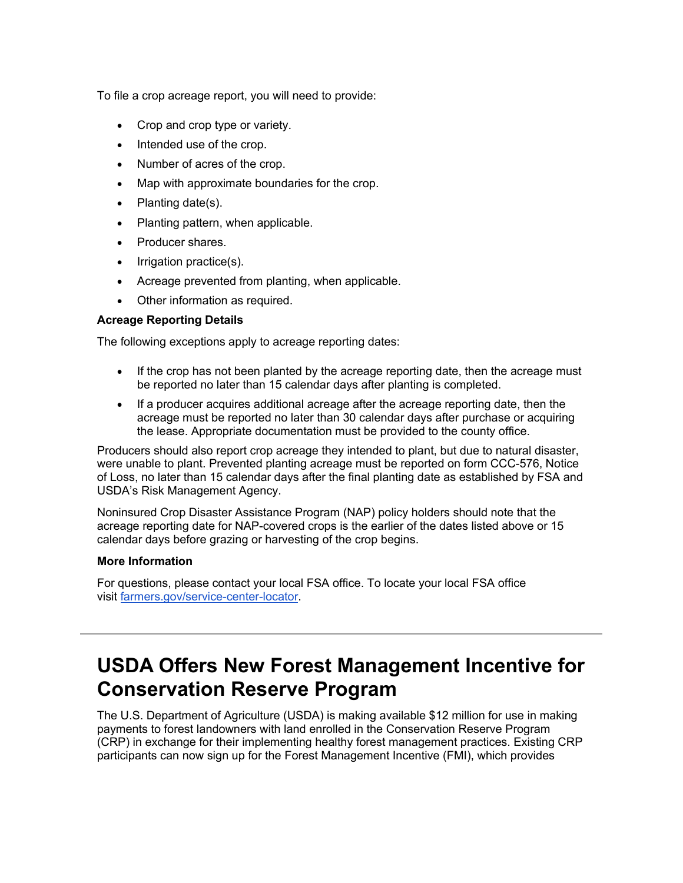To file a crop acreage report, you will need to provide:

- Crop and crop type or variety.
- Intended use of the crop.
- Number of acres of the crop.
- Map with approximate boundaries for the crop.
- Planting date(s).
- Planting pattern, when applicable.
- Producer shares.
- Irrigation practice(s).
- Acreage prevented from planting, when applicable.
- Other information as required.

### **Acreage Reporting Details**

The following exceptions apply to acreage reporting dates:

- If the crop has not been planted by the acreage reporting date, then the acreage must be reported no later than 15 calendar days after planting is completed.
- If a producer acquires additional acreage after the acreage reporting date, then the acreage must be reported no later than 30 calendar days after purchase or acquiring the lease. Appropriate documentation must be provided to the county office.

Producers should also report crop acreage they intended to plant, but due to natural disaster, were unable to plant. Prevented planting acreage must be reported on form CCC-576, Notice of Loss, no later than 15 calendar days after the final planting date as established by FSA and USDA's Risk Management Agency.

Noninsured Crop Disaster Assistance Program (NAP) policy holders should note that the acreage reporting date for NAP-covered crops is the earlier of the dates listed above or 15 calendar days before grazing or harvesting of the crop begins.

### **More Information**

For questions, please contact your local FSA office. To locate your local FSA office visit [farmers.gov/service-center-locator.](https://www.farmers.gov/service-center-locator?utm_medium=email&utm_source=govdelivery)

# **USDA Offers New Forest Management Incentive for Conservation Reserve Program**

The U.S. Department of Agriculture (USDA) is making available \$12 million for use in making payments to forest landowners with land enrolled in the Conservation Reserve Program (CRP) in exchange for their implementing healthy forest management practices. Existing CRP participants can now sign up for the Forest Management Incentive (FMI), which provides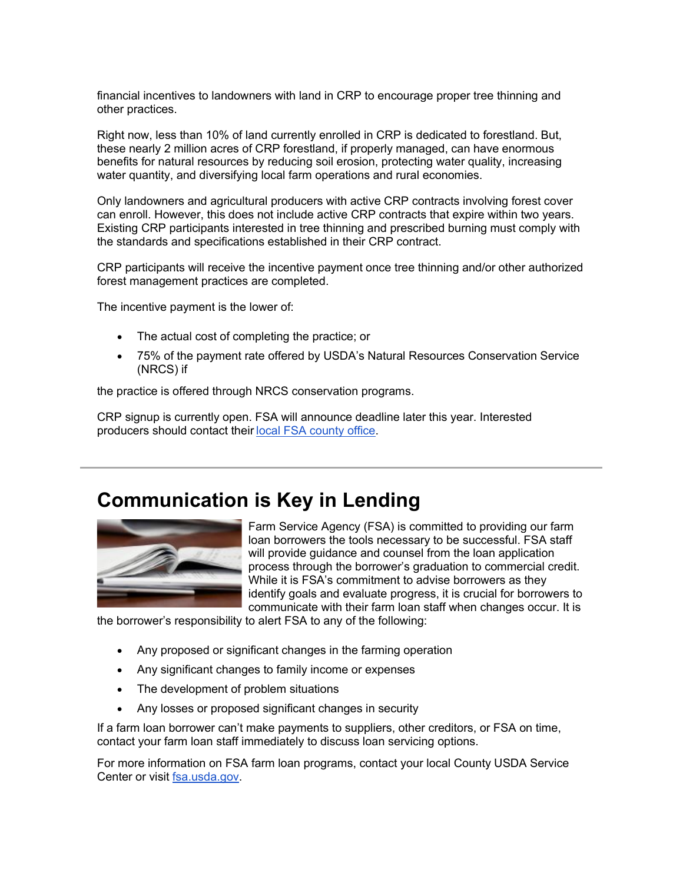financial incentives to landowners with land in CRP to encourage proper tree thinning and other practices.

Right now, less than 10% of land currently enrolled in CRP is dedicated to forestland. But, these nearly 2 million acres of CRP forestland, if properly managed, can have enormous benefits for natural resources by reducing soil erosion, protecting water quality, increasing water quantity, and diversifying local farm operations and rural economies.

Only landowners and agricultural producers with active CRP contracts involving forest cover can enroll. However, this does not include active CRP contracts that expire within two years. Existing CRP participants interested in tree thinning and prescribed burning must comply with the standards and specifications established in their CRP contract.

CRP participants will receive the incentive payment once tree thinning and/or other authorized forest management practices are completed.

The incentive payment is the lower of:

- The actual cost of completing the practice; or
- 75% of the payment rate offered by USDA's Natural Resources Conservation Service (NRCS) if

the practice is offered through NRCS conservation programs.

CRP signup is currently open. FSA will announce deadline later this year. Interested producers should contact their [local FSA county office](https://www.farmers.gov/service-center-locator?utm_medium=email&utm_source=govdelivery). 

### **Communication is Key in Lending**



Farm Service Agency (FSA) is committed to providing our farm loan borrowers the tools necessary to be successful. FSA staff will provide guidance and counsel from the loan application process through the borrower's graduation to commercial credit. While it is FSA's commitment to advise borrowers as they identify goals and evaluate progress, it is crucial for borrowers to communicate with their farm loan staff when changes occur. It is

the borrower's responsibility to alert FSA to any of the following:

- Any proposed or significant changes in the farming operation
- Any significant changes to family income or expenses
- The development of problem situations
- Any losses or proposed significant changes in security

If a farm loan borrower can't make payments to suppliers, other creditors, or FSA on time, contact your farm loan staff immediately to discuss loan servicing options.

For more information on FSA farm loan programs, contact your local County USDA Service Center or visit [fsa.usda.gov.](https://gcc02.safelinks.protection.outlook.com/?data=04%7C01%7C%7Cb50ef31b838845298e4608d91ec5d8ee%7Ced5b36e701ee4ebc867ee03cfa0d4697%7C0%7C0%7C637574657356936069%7CUnknown%7CTWFpbGZsb3d8eyJWIjoiMC4wLjAwMDAiLCJQIjoiV2luMzIiLCJBTiI6Ik1haWwiLCJXVCI6Mn0%3D%7C1000&reserved=0&sdata=KXTPW%2FfDhmGf8BkBTHFTK9ylKd4LWjbT5868oZQ8DNw%3D&url=http%3A%2F%2Fwww.fsa.usda.gov%2F%3Futm_medium%3Demail%26utm_source%3Dgovdelivery&utm_medium=email&utm_source=govdelivery)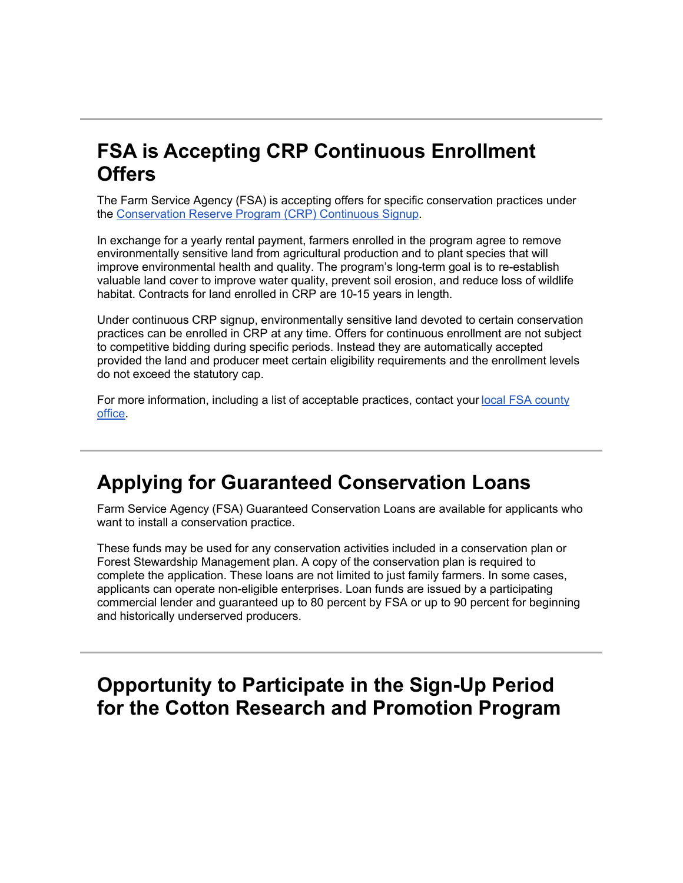# **FSA is Accepting CRP Continuous Enrollment Offers**

The Farm Service Agency (FSA) is accepting offers for specific conservation practices under the [Conservation Reserve Program \(CRP\) Continuous Signup.](https://www.fsa.usda.gov/Assets/USDA-FSA-Public/usdafiles/FactSheets/2019/crp_continuous_enrollment_period-fact_sheet.pdf?utm_medium=email&utm_source=govdelivery)

In exchange for a yearly rental payment, farmers enrolled in the program agree to remove environmentally sensitive land from agricultural production and to plant species that will improve environmental health and quality. The program's long-term goal is to re-establish valuable land cover to improve water quality, prevent soil erosion, and reduce loss of wildlife habitat. Contracts for land enrolled in CRP are 10-15 years in length.

Under continuous CRP signup, environmentally sensitive land devoted to certain conservation practices can be enrolled in CRP at any time. Offers for continuous enrollment are not subject to competitive bidding during specific periods. Instead they are automatically accepted provided the land and producer meet certain eligibility requirements and the enrollment levels do not exceed the statutory cap.

For more information, including a list of acceptable practices, contact your local FSA county [office](https://www.farmers.gov/service-center-locator?utm_medium=email&utm_source=govdelivery). 

## **Applying for Guaranteed Conservation Loans**

Farm Service Agency (FSA) Guaranteed Conservation Loans are available for applicants who want to install a conservation practice.

These funds may be used for any conservation activities included in a conservation plan or Forest Stewardship Management plan. A copy of the conservation plan is required to complete the application. These loans are not limited to just family farmers. In some cases, applicants can operate non-eligible enterprises. Loan funds are issued by a participating commercial lender and guaranteed up to 80 percent by FSA or up to 90 percent for beginning and historically underserved producers.

### **Opportunity to Participate in the Sign-Up Period for the Cotton Research and Promotion Program**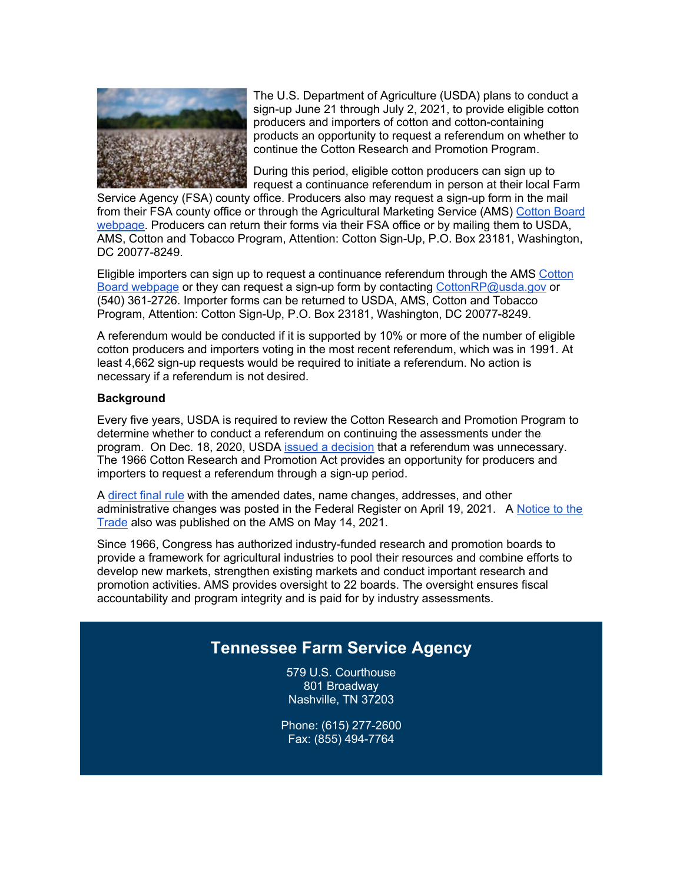

The U.S. Department of Agriculture (USDA) plans to conduct a sign-up June 21 through July 2, 2021, to provide eligible cotton producers and importers of cotton and cotton-containing products an opportunity to request a referendum on whether to continue the Cotton Research and Promotion Program.

During this period, eligible cotton producers can sign up to request a continuance referendum in person at their local Farm

Service Agency (FSA) county office. Producers also may request a sign-up form in the mail from their FSA county office or through the Agricultural Marketing Service (AMS) [Cotton Board](https://www.ams.usda.gov/rules-regulations/research-promotion/cotton?utm_medium=email&utm_source=govdelivery)  [webpage.](https://www.ams.usda.gov/rules-regulations/research-promotion/cotton?utm_medium=email&utm_source=govdelivery) Producers can return their forms via their FSA office or by mailing them to USDA, AMS, Cotton and Tobacco Program, Attention: Cotton Sign-Up, P.O. Box 23181, Washington, DC 20077-8249.

Eligible importers can sign up to request a continuance referendum through the AMS [Cotton](https://www.ams.usda.gov/rules-regulations/research-promotion/cotton?utm_medium=email&utm_source=govdelivery)  [Board webpage](https://www.ams.usda.gov/rules-regulations/research-promotion/cotton?utm_medium=email&utm_source=govdelivery) or they can request a sign-up form by contacting [CottonRP@usda.gov](mailto:CottonRP@usda.gov) or (540) 361-2726. Importer forms can be returned to USDA, AMS, Cotton and Tobacco Program, Attention: Cotton Sign-Up, P.O. Box 23181, Washington, DC 20077-8249.

A referendum would be conducted if it is supported by 10% or more of the number of eligible cotton producers and importers voting in the most recent referendum, which was in 1991. At least 4,662 sign-up requests would be required to initiate a referendum. No action is necessary if a referendum is not desired.

#### **Background**

Every five years, USDA is required to review the Cotton Research and Promotion Program to determine whether to conduct a referendum on continuing the assessments under the program. On Dec. 18, 2020, USDA [issued a decision](https://www.federalregister.gov/documents/2020/12/18/2020-27877/cotton-research-and-promotion-program-determination-of-whether-to-conduct-a-referendum-regarding?utm_medium=email&utm_source=govdelivery) that a referendum was unnecessary. The 1966 Cotton Research and Promotion Act provides an opportunity for producers and importers to request a referendum through a sign-up period.

A [direct final rule](https://www.federalregister.gov/documents/2021/04/19/2021-07989/cotton-research-and-promotion-program-procedures-for-conduct-of-sign-up-period?utm_medium=email&utm_source=govdelivery) with the amended dates, name changes, addresses, and other administrative changes was posted in the Federal Register on April 19, 2021. A [Notice to the](https://www.ams.usda.gov/content/usda-proposes-sign-period-cotton-research-and-promotion-program?utm_medium=email&utm_source=govdelivery)  [Trade](https://www.ams.usda.gov/content/usda-proposes-sign-period-cotton-research-and-promotion-program?utm_medium=email&utm_source=govdelivery) also was published on the AMS on May 14, 2021.

Since 1966, Congress has authorized industry-funded research and promotion boards to provide a framework for agricultural industries to pool their resources and combine efforts to develop new markets, strengthen existing markets and conduct important research and promotion activities. AMS provides oversight to 22 boards. The oversight ensures fiscal accountability and program integrity and is paid for by industry assessments.

### **Tennessee Farm Service Agency**

579 U.S. Courthouse 801 Broadway Nashville, TN 37203

Phone: (615) 277-2600 Fax: (855) 494-7764